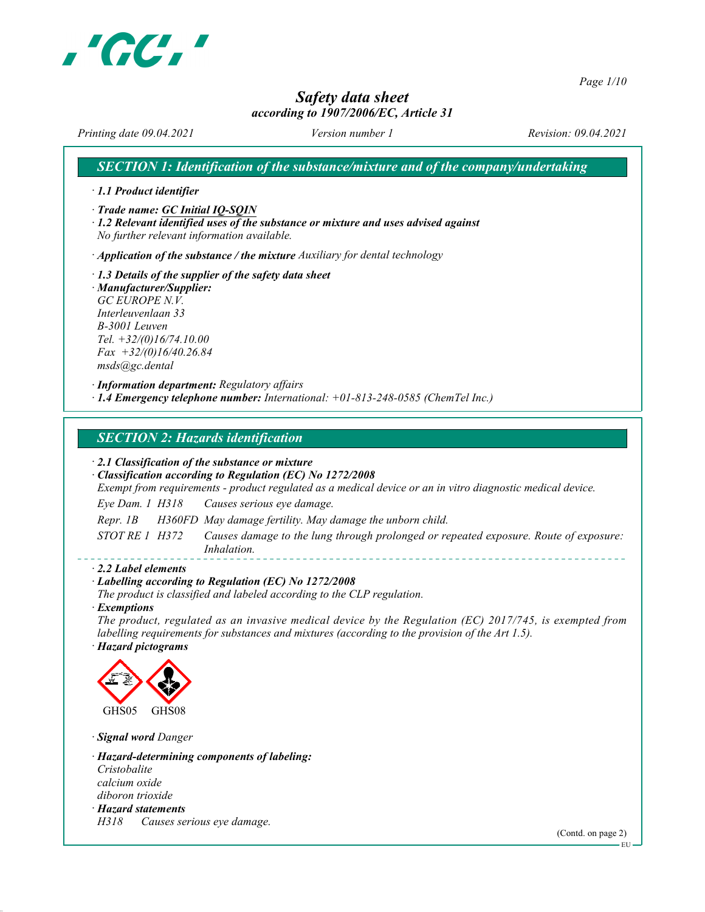

Page 1/10

# Safety data sheet

### according to 1907/2006/EC, Article 31

Printing date 09.04.2021 Version number 1 Revision: 09.04.2021

SECTION 1: Identification of the substance/mixture and of the company/undertaking

· 1.1 Product identifier

· Trade name: GC Initial IQ-SQIN

· 1.2 Relevant identified uses of the substance or mixture and uses advised against No further relevant information available.

 $\cdot$  Application of the substance / the mixture Auxiliary for dental technology

· 1.3 Details of the supplier of the safety data sheet · Manufacturer/Supplier: GC EUROPE N.V. Interleuvenlaan 33 B-3001 Leuven Tel. +32/(0)16/74.10.00  $Fax +32/(0)16/40.26.84$ msds@gc.dental

· Information department: Regulatory affairs · 1.4 Emergency telephone number: International: +01-813-248-0585 (ChemTel Inc.)

### SECTION 2: Hazards identification

· 2.1 Classification of the substance or mixture

· Classification according to Regulation (EC) No 1272/2008

Exempt from requirements - product regulated as a medical device or an in vitro diagnostic medical device.

Eye Dam. 1 H318 Causes serious eye damage.

Repr. 1B H360FD May damage fertility. May damage the unborn child.

STOT RE 1 H372 Causes damage to the lung through prolonged or repeated exposure. Route of exposure: Inhalation.

#### · 2.2 Label elements

#### · Labelling according to Regulation (EC) No 1272/2008

The product is classified and labeled according to the CLP regulation.

· Exemptions

The product, regulated as an invasive medical device by the Regulation (EC) 2017/745, is exempted from labelling requirements for substances and mixtures (according to the provision of the Art 1.5).

· Hazard pictograms



· Signal word Danger

· Hazard-determining components of labeling: Cristobalite calcium oxide diboron trioxide · Hazard statements H318 Causes serious eye damage.

(Contd. on page 2)

**EU**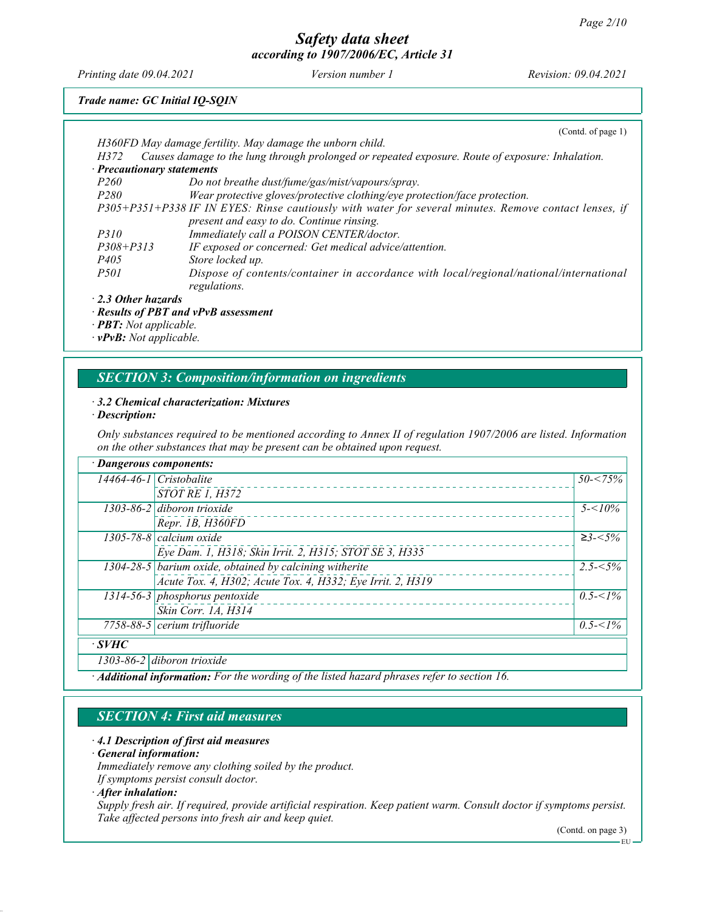Printing date 09.04.2021 Version number 1 Revision: 09.04.2021

## Trade name: GC Initial IQ-SQIN

|                                  | (Contd. of page 1)                                                                                    |
|----------------------------------|-------------------------------------------------------------------------------------------------------|
|                                  | H360FD May damage fertility. May damage the unborn child.                                             |
| H372                             | Causes damage to the lung through prolonged or repeated exposure. Route of exposure: Inhalation.      |
| $\cdot$ Precautionary statements |                                                                                                       |
| <i>P260</i>                      | Do not breathe dust/fume/gas/mist/vapours/spray.                                                      |
| <i>P280</i>                      | Wear protective gloves/protective clothing/eye protection/face protection.                            |
|                                  | P305+P351+P338 IF IN EYES: Rinse cautiously with water for several minutes. Remove contact lenses, if |
|                                  | present and easy to do. Continue rinsing.                                                             |
| <i>P310</i>                      | Immediately call a POISON CENTER/doctor.                                                              |
| $P308 + P313$                    | IF exposed or concerned: Get medical advice/attention.                                                |
| <i>P405</i>                      | Store locked up.                                                                                      |
| <i>P501</i>                      | Dispose of contents/container in accordance with local/regional/national/international                |
|                                  | regulations.                                                                                          |
| $\cdot$ 2.3 Other hazards        |                                                                                                       |

2.3 Other hazards

· Results of PBT and vPvB assessment

· PBT: Not applicable.

· vPvB: Not applicable.

### SECTION 3: Composition/information on ingredients

#### · 3.2 Chemical characterization: Mixtures

· Description:

Only substances required to be mentioned according to Annex II of regulation 1907/2006 are listed. Information on the other substances that may be present can be obtained upon request.

| · Dangerous components:                                                                     |                                                            |             |
|---------------------------------------------------------------------------------------------|------------------------------------------------------------|-------------|
|                                                                                             | $14464 - 46 - 1$ Cristobalite                              | $50 - 75\%$ |
|                                                                                             | <b>STOT RE 1, H372</b>                                     |             |
|                                                                                             | $1303-86-2$ diboron trioxide                               | $5 - 10\%$  |
|                                                                                             | Repr. 1B, H360FD                                           |             |
|                                                                                             | 1305-78-8 calcium oxide                                    | $≥3 - <5%$  |
|                                                                                             | Eye Dam. 1, H318; Skin Irrit. 2, H315; STOT SE 3, H335     |             |
|                                                                                             | $1304-28-5$ barium oxide, obtained by calcining witherite  | $2.5 - 5\%$ |
|                                                                                             | Acute Tox. 4, H302; Acute Tox. 4, H332; Eye Irrit. 2, H319 |             |
|                                                                                             | 1314-56-3 phosphorus pentoxide                             | $0.5 < 1\%$ |
|                                                                                             | Skin Corr. 1A, H314                                        |             |
|                                                                                             | $7758-88-5$ cerium trifluoride                             | $0.5 < 1\%$ |
| $\cdot$ SVHC                                                                                |                                                            |             |
|                                                                                             | 1303-86-2 diboron trioxide                                 |             |
| · Additional information: For the wording of the listed hazard phrases refer to section 16. |                                                            |             |

### SECTION 4: First aid measures

### · 4.1 Description of first aid measures

· General information:

Immediately remove any clothing soiled by the product.

If symptoms persist consult doctor.

· After inhalation:

Supply fresh air. If required, provide artificial respiration. Keep patient warm. Consult doctor if symptoms persist. Take affected persons into fresh air and keep quiet.

(Contd. on page 3)

EU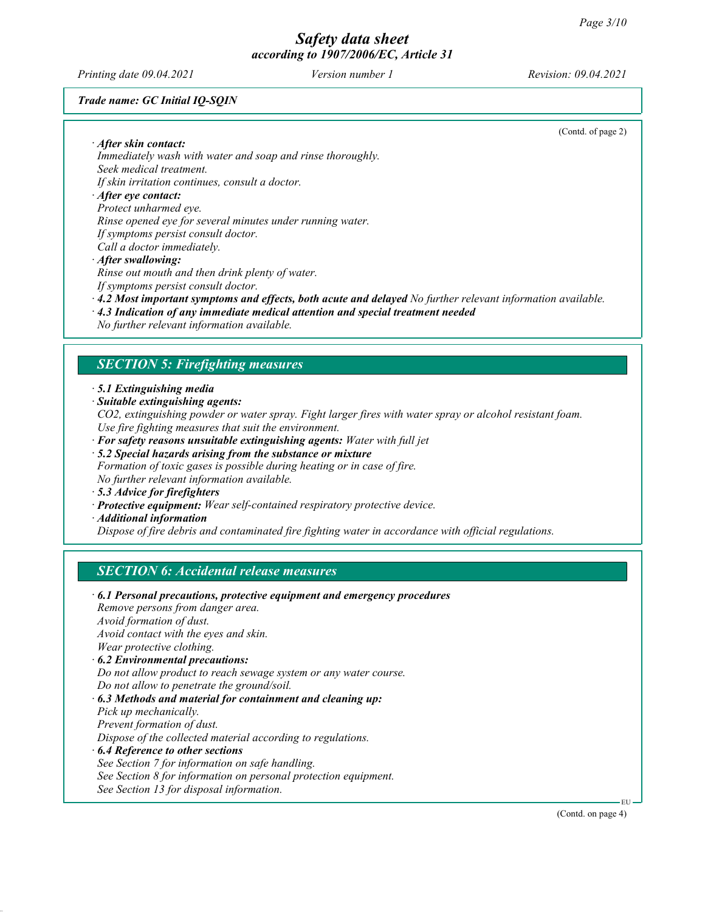Printing date 09.04.2021 Version number 1 Revision: 09.04.2021

Trade name: GC Initial IQ-SQIN

(Contd. of page 2)

· After skin contact: Immediately wash with water and soap and rinse thoroughly. Seek medical treatment.

If skin irritation continues, consult a doctor.

#### · After eye contact:

Protect unharmed eye.

Rinse opened eye for several minutes under running water.

If symptoms persist consult doctor.

Call a doctor immediately.

· After swallowing:

Rinse out mouth and then drink plenty of water. If symptoms persist consult doctor.

- · 4.2 Most important symptoms and effects, both acute and delayed No further relevant information available.
- · 4.3 Indication of any immediate medical attention and special treatment needed
- No further relevant information available.

### SECTION 5: Firefighting measures

- · 5.1 Extinguishing media
- · Suitable extinguishing agents:
- CO2, extinguishing powder or water spray. Fight larger fires with water spray or alcohol resistant foam. Use fire fighting measures that suit the environment.
- $\cdot$  For safety reasons unsuitable extinguishing agents: Water with full jet
- · 5.2 Special hazards arising from the substance or mixture
- Formation of toxic gases is possible during heating or in case of fire. No further relevant information available.
- · 5.3 Advice for firefighters
- · Protective equipment: Wear self-contained respiratory protective device.
- · Additional information

Dispose of fire debris and contaminated fire fighting water in accordance with official regulations.

## SECTION 6: Accidental release measures

· 6.1 Personal precautions, protective equipment and emergency procedures Remove persons from danger area. Avoid formation of dust. Avoid contact with the eyes and skin. Wear protective clothing. · 6.2 Environmental precautions: Do not allow product to reach sewage system or any water course. Do not allow to penetrate the ground/soil. · 6.3 Methods and material for containment and cleaning up: Pick up mechanically. Prevent formation of dust. Dispose of the collected material according to regulations. · 6.4 Reference to other sections See Section 7 for information on safe handling. See Section 8 for information on personal protection equipment. See Section 13 for disposal information.

EU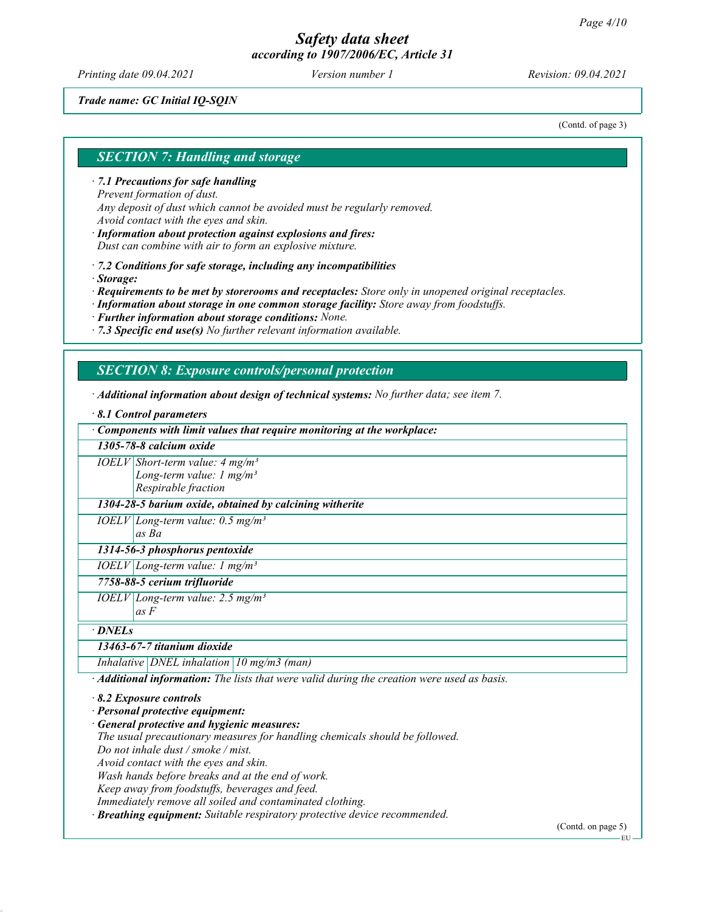Printing date 09.04.2021 Version number 1 Revision: 09.04.2021

#### Trade name: GC Initial IQ-SQIN

(Contd. of page 3)

### SECTION 7: Handling and storage

· 7.1 Precautions for safe handling Prevent formation of dust. Any deposit of dust which cannot be avoided must be regularly removed. Avoid contact with the eyes and skin.

· Information about protection against explosions and fires: Dust can combine with air to form an explosive mixture.

· 7.2 Conditions for safe storage, including any incompatibilities

· Storage:

· Requirements to be met by storerooms and receptacles: Store only in unopened original receptacles.

· Information about storage in one common storage facility: Store away from foodstuffs.

· Further information about storage conditions: None.

 $\cdot$  7.3 Specific end use(s) No further relevant information available.

#### SECTION 8: Exposure controls/personal protection

· Additional information about design of technical systems: No further data; see item 7.

· 8.1 Control parameters

· Components with limit values that require monitoring at the workplace:

1305-78-8 calcium oxide  $IOELV|Short-term value: 4 mg/m<sup>3</sup>$ Long-term value:  $1 \text{ mg/m}^3$ Respirable fraction

1304-28-5 barium oxide, obtained by calcining witherite

 $IOELV$ Long-term value: 0.5 mg/m<sup>3</sup> as Ba

1314-56-3 phosphorus pentoxide

 $IOELV|Long-term value: I mg/m<sup>3</sup>$ 

#### 7758-88-5 cerium trifluoride

 $IOELV | Long-term value: 2.5 mg/m<sup>3</sup>$ as F

#### · DNELs

#### 13463-67-7 titanium dioxide

Inhalative *DNEL* inhalation  $10$  mg/m3 (man)

· Additional information: The lists that were valid during the creation were used as basis.

#### · 8.2 Exposure controls

· Personal protective equipment:

General protective and hygienic measures:

The usual precautionary measures for handling chemicals should be followed. Do not inhale dust / smoke / mist.

Avoid contact with the eyes and skin.

Wash hands before breaks and at the end of work.

Keep away from foodstuffs, beverages and feed.

Immediately remove all soiled and contaminated clothing.

· Breathing equipment: Suitable respiratory protective device recommended.

(Contd. on page 5)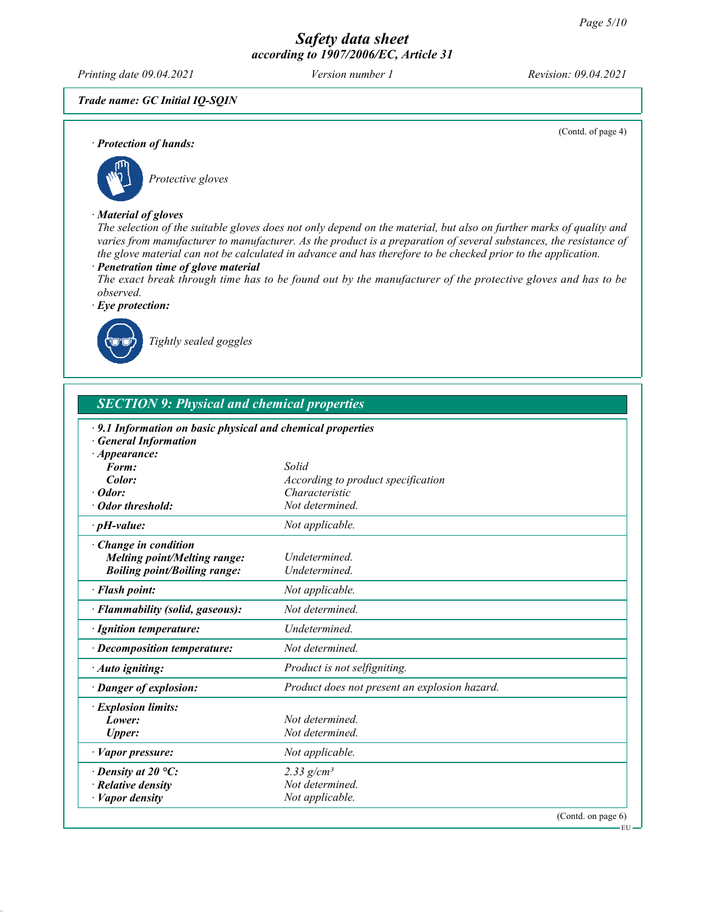Printing date 09.04.2021 Version number 1 Revision: 09.04.2021

(Contd. of page 4)

#### Trade name: GC Initial IQ-SQIN

· Protection of hands:



## · Material of gloves

The selection of the suitable gloves does not only depend on the material, but also on further marks of quality and varies from manufacturer to manufacturer. As the product is a preparation of several substances, the resistance of the glove material can not be calculated in advance and has therefore to be checked prior to the application.

#### · Penetration time of glove material

The exact break through time has to be found out by the manufacturer of the protective gloves and has to be observed.

· Eye protection:



Tightly sealed goggles

## SECTION 9: Physical and chemical properties

| $\cdot$ 9.1 Information on basic physical and chemical properties<br><b>General Information</b> |                                               |
|-------------------------------------------------------------------------------------------------|-----------------------------------------------|
| $\cdot$ Appearance:                                                                             |                                               |
| Form:                                                                                           | Solid                                         |
| Color:                                                                                          | According to product specification            |
| $\cdot$ Odor:                                                                                   | Characteristic                                |
| · Odor threshold:                                                                               | Not determined.                               |
| $\cdot$ pH-value:                                                                               | Not applicable.                               |
| · Change in condition                                                                           |                                               |
| <b>Melting point/Melting range:</b>                                                             | Undetermined.                                 |
| <b>Boiling point/Boiling range:</b>                                                             | Undetermined.                                 |
| · Flash point:                                                                                  | Not applicable.                               |
| · Flammability (solid, gaseous):                                                                | Not determined.                               |
| · Ignition temperature:                                                                         | Undetermined.                                 |
| · Decomposition temperature:                                                                    | Not determined.                               |
| · Auto igniting:                                                                                | Product is not selfigniting.                  |
| · Danger of explosion:                                                                          | Product does not present an explosion hazard. |
| · Explosion limits:                                                                             |                                               |
| Lower:                                                                                          | Not determined.                               |
| <b>Upper:</b>                                                                                   | Not determined.                               |
| $\cdot$ <i>Vapor pressure:</i>                                                                  | Not applicable.                               |
| $\cdot$ Density at 20 °C:                                                                       | 2.33 $g/cm^{3}$                               |
| $\cdot$ Relative density                                                                        | Not determined.                               |
| $\cdot$ <i>Vapor density</i>                                                                    | Not applicable.                               |
|                                                                                                 | (Contd. on page 6)<br>– EU -                  |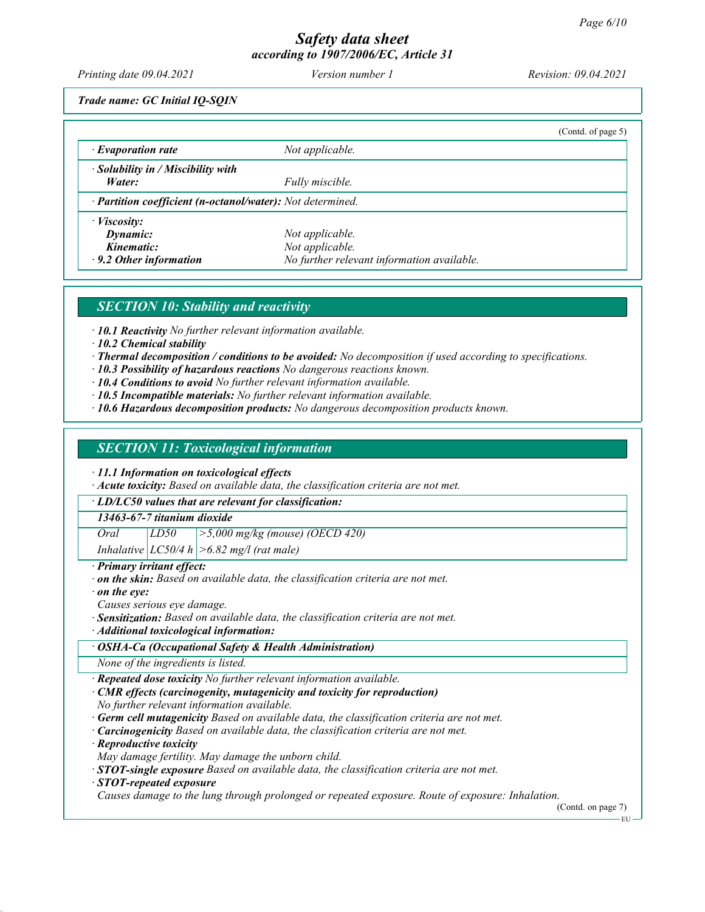Printing date 09.04.2021 Version number 1 Revision: 09.04.2021

Trade name: GC Initial IQ-SQIN

|                                                            |                                            | (Cond. of page 5) |
|------------------------------------------------------------|--------------------------------------------|-------------------|
| $\cdot$ Evaporation rate                                   | Not applicable.                            |                   |
| · Solubility in / Miscibility with                         |                                            |                   |
| Water:                                                     | Fully miscible.                            |                   |
| · Partition coefficient (n-octanol/water): Not determined. |                                            |                   |
| $\cdot$ <i>Viscosity:</i>                                  |                                            |                   |
| Dynamic:                                                   | Not applicable.                            |                   |
| Kinematic:                                                 | Not applicable.                            |                   |
| $\cdot$ 9.2 Other information                              | No further relevant information available. |                   |

## SECTION 10: Stability and reactivity

· 10.1 Reactivity No further relevant information available.

- · 10.2 Chemical stability
- · Thermal decomposition / conditions to be avoided: No decomposition if used according to specifications.
- · 10.3 Possibility of hazardous reactions No dangerous reactions known.
- $\cdot$  10.4 Conditions to avoid No further relevant information available.
- · 10.5 Incompatible materials: No further relevant information available.
- · 10.6 Hazardous decomposition products: No dangerous decomposition products known.

#### SECTION 11: Toxicological information

· 11.1 Information on toxicological effects

 $\cdot$  Acute toxicity: Based on available data, the classification criteria are not met.

· LD/LC50 values that are relevant for classification:

#### 13463-67-7 titanium dioxide

Oral  $LD50$   $>5,000$  mg/kg (mouse) (OECD 420)

Inhalative  $|LCS0/4 h| > 6.82$  mg/l (rat male)

· Primary irritant effect:

- · on the skin: Based on available data, the classification criteria are not met.
- $\cdot$  on the eve:

Causes serious eye damage.

- · Sensitization: Based on available data, the classification criteria are not met.
- · Additional toxicological information:
- · OSHA-Ca (Occupational Safety & Health Administration)

None of the ingredients is listed.

- Repeated dose toxicity No further relevant information available.
- CMR effects (carcinogenity, mutagenicity and toxicity for reproduction)

No further relevant information available.

- · Germ cell mutagenicity Based on available data, the classification criteria are not met.
- · Carcinogenicity Based on available data, the classification criteria are not met.

· Reproductive toxicity

- May damage fertility. May damage the unborn child.
- $\cdot$  STOT-single exposure Based on available data, the classification criteria are not met.

#### · STOT-repeated exposure

Causes damage to the lung through prolonged or repeated exposure. Route of exposure: Inhalation.

(Contd. on page 7)

EU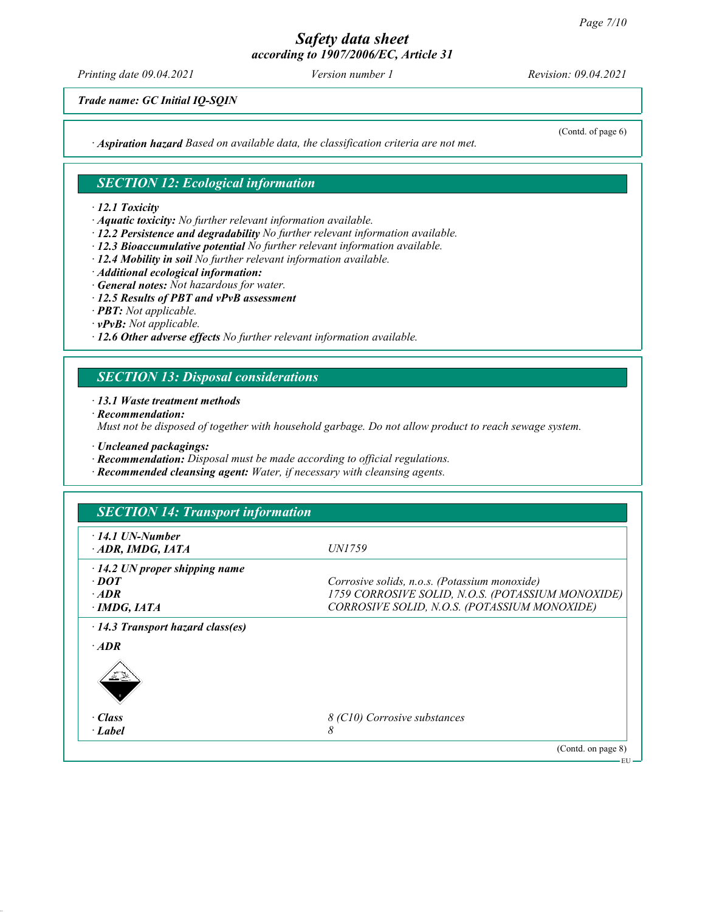Printing date 09.04.2021 Version number 1 Revision: 09.04.2021

Trade name: GC Initial IQ-SQIN

 $\cdot$  Aspiration hazard Based on available data, the classification criteria are not met.

### SECTION 12: Ecological information

#### · 12.1 Toxicity

- · Aquatic toxicity: No further relevant information available.
- · 12.2 Persistence and degradability No further relevant information available.
- · 12.3 Bioaccumulative potential No further relevant information available.
- · 12.4 Mobility in soil No further relevant information available.
- · Additional ecological information:
- · General notes: Not hazardous for water.
- · 12.5 Results of PBT and vPvB assessment
- · PBT: Not applicable.
- · vPvB: Not applicable.
- $\cdot$  12.6 Other adverse effects No further relevant information available.

## SECTION 13: Disposal considerations

#### · 13.1 Waste treatment methods

· Recommendation:

Must not be disposed of together with household garbage. Do not allow product to reach sewage system.

- · Uncleaned packagings:
- · Recommendation: Disposal must be made according to official regulations.
- · Recommended cleansing agent: Water, if necessary with cleansing agents.

| $\cdot$ 14.1 UN-Number                  | <i>UN1759</i>                                     |
|-----------------------------------------|---------------------------------------------------|
| ADR, IMDG, IATA                         |                                                   |
| $\cdot$ 14.2 UN proper shipping name    |                                                   |
| $\cdot$ DOT                             | Corrosive solids, n.o.s. (Potassium monoxide)     |
| $·$ <i>ADR</i>                          | 1759 CORROSIVE SOLID, N.O.S. (POTASSIUM MONOXIDE) |
| $\cdot$ IMDG, IATA                      | CORROSIVE SOLID, N.O.S. (POTASSIUM MONOXIDE)      |
| $\cdot$ 14.3 Transport hazard class(es) |                                                   |
| $\cdot$ ADR                             |                                                   |
| <u>af S</u> r                           |                                                   |
| · Class                                 | 8 (C10) Corrosive substances                      |
| $\cdot$ Label                           | 8                                                 |

(Contd. of page 6)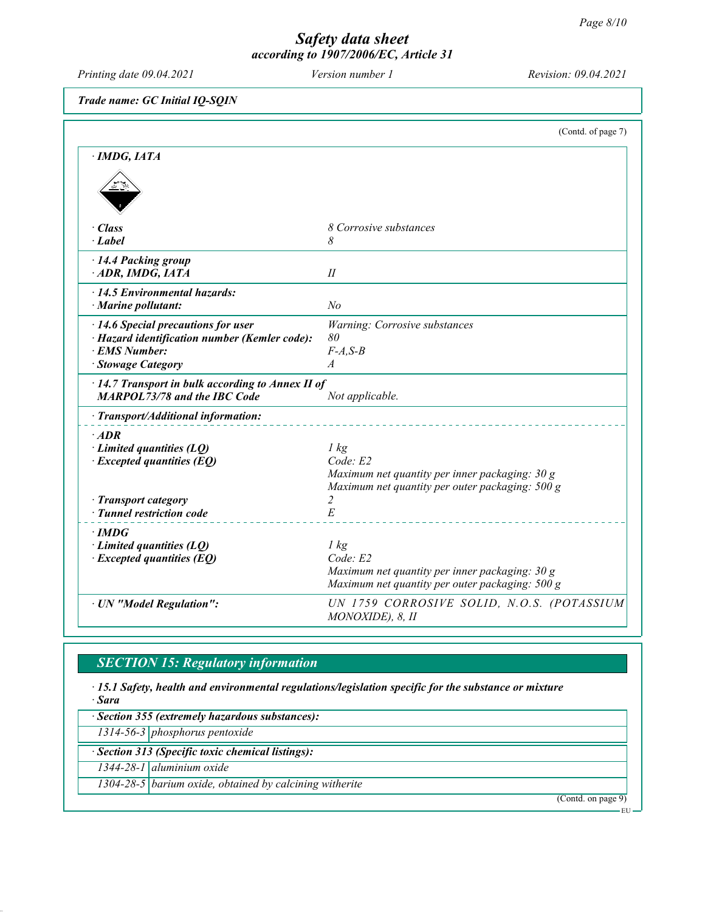EU

## Safety data sheet according to 1907/2006/EC, Article 31

Printing date 09.04.2021 Version number 1 Revision: 09.04.2021

Trade name: GC Initial IQ-SQIN

|                                                                                                | (Contd. of page 7)                                                                                                    |
|------------------------------------------------------------------------------------------------|-----------------------------------------------------------------------------------------------------------------------|
| $\cdot$ IMDG, IATA                                                                             |                                                                                                                       |
|                                                                                                |                                                                                                                       |
| · Class                                                                                        | 8 Corrosive substances                                                                                                |
| $\cdot$ Label                                                                                  | 8                                                                                                                     |
| 14.4 Packing group<br>ADR, IMDG, IATA                                                          | $I\!I$                                                                                                                |
| $\cdot$ 14.5 Environmental hazards:<br>$\cdot$ Marine pollutant:                               | N <sub>o</sub>                                                                                                        |
| $\cdot$ 14.6 Special precautions for user                                                      | Warning: Corrosive substances                                                                                         |
| · Hazard identification number (Kemler code):                                                  | 80                                                                                                                    |
| · EMS Number:                                                                                  | $F-A, S-B$                                                                                                            |
| · Stowage Category                                                                             | $\boldsymbol{A}$                                                                                                      |
| $\cdot$ 14.7 Transport in bulk according to Annex II of<br><b>MARPOL73/78 and the IBC Code</b> | Not applicable.                                                                                                       |
| · Transport/Additional information:                                                            |                                                                                                                       |
| $\cdot$ ADR<br>$\cdot$ Limited quantities (LQ)<br>$\cdot$ Excepted quantities (EQ)             | 1 kg<br>Code: E2<br>Maximum net quantity per inner packaging: 30 g<br>Maximum net quantity per outer packaging: 500 g |
| · Transport category                                                                           | $\overline{2}$                                                                                                        |
| · Tunnel restriction code                                                                      | E                                                                                                                     |
| $\cdot$ IMDG                                                                                   |                                                                                                                       |
| $\cdot$ Limited quantities (LQ)                                                                | $1 \text{ kg}$                                                                                                        |
| $\cdot$ Excepted quantities (EQ)                                                               | Code: E2                                                                                                              |
|                                                                                                | Maximum net quantity per inner packaging: 30 g<br>Maximum net quantity per outer packaging: 500 g                     |
| · UN "Model Regulation":                                                                       | UN 1759 CORROSIVE SOLID, N.O.S. (POTASSIUM<br>MONOXIDE), 8, II                                                        |

# SECTION 15: Regulatory information

· 15.1 Safety, health and environmental regulations/legislation specific for the substance or mixture · Sara

· Section 355 (extremely hazardous substances): 1314-56-3 phosphorus pentoxide · Section 313 (Specific toxic chemical listings): 1344-28-1 aluminium oxide 1304-28-5 barium oxide, obtained by calcining witherite (Contd. on page 9)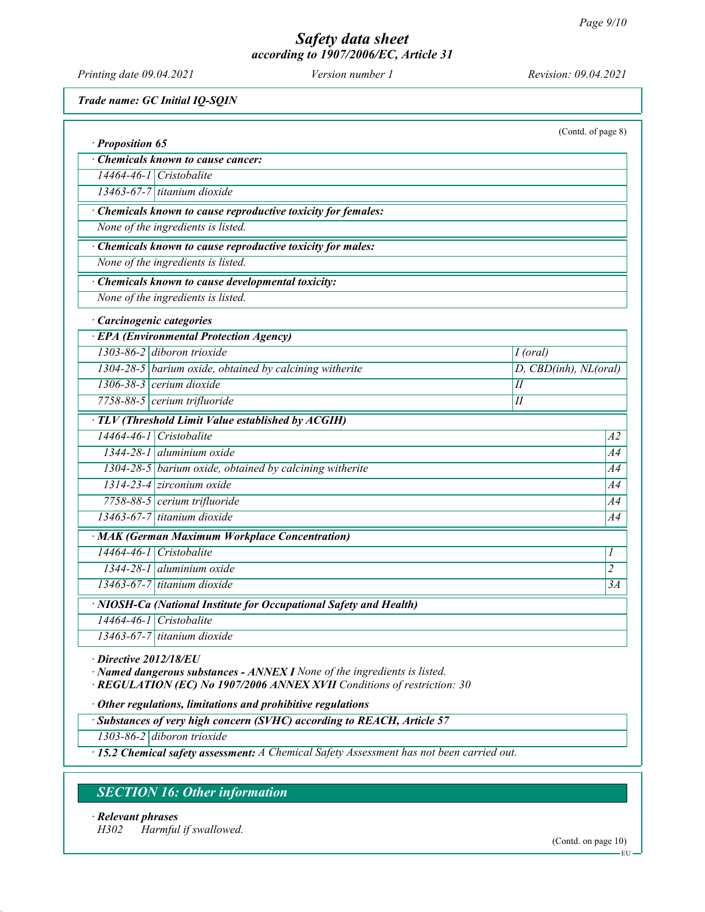Printing date 09.04.2021 Version number 1 Revision: 09.04.2021

Trade name: GC Initial IQ-SQIN

| · Proposition 65 |                                                                    | (Contd. of page 8)    |                  |
|------------------|--------------------------------------------------------------------|-----------------------|------------------|
|                  | Chemicals known to cause cancer:                                   |                       |                  |
|                  | 14464-46-1 Cristobalite                                            |                       |                  |
|                  | 13463-67-7 titanium dioxide                                        |                       |                  |
|                  | Chemicals known to cause reproductive toxicity for females:        |                       |                  |
|                  | None of the ingredients is listed.                                 |                       |                  |
|                  | Chemicals known to cause reproductive toxicity for males:          |                       |                  |
|                  | None of the ingredients is listed.                                 |                       |                  |
|                  | Chemicals known to cause developmental toxicity:                   |                       |                  |
|                  | None of the ingredients is listed.                                 |                       |                  |
|                  | Carcinogenic categories                                            |                       |                  |
|                  | · EPA (Environmental Protection Agency)                            |                       |                  |
|                  | 1303-86-2 diboron trioxide                                         | $\overline{I}$ (oral) |                  |
|                  | 1304-28-5 barium oxide, obtained by calcining witherite            | D, CBD(inh), NL(oral) |                  |
|                  | 1306-38-3 cerium dioxide                                           | I                     |                  |
|                  | 7758-88-5 cerium trifluoride                                       | I                     |                  |
|                  | · TLV (Threshold Limit Value established by ACGIH)                 |                       |                  |
|                  | 14464-46-1 Cristobalite                                            |                       | A2               |
|                  | $1344-28-1$ aluminium oxide                                        |                       | A4               |
|                  | 1304-28-5 barium oxide, obtained by calcining witherite            |                       | A4               |
|                  | 1314-23-4 zirconium oxide                                          |                       | A4               |
|                  | 7758-88-5 cerium trifluoride                                       |                       | A4               |
|                  | $13463-67-7$ titanium dioxide                                      |                       | A4               |
|                  | · MAK (German Maximum Workplace Concentration)                     |                       |                  |
|                  | 14464-46-1 Cristobalite                                            |                       | $\boldsymbol{l}$ |
|                  | $1344-28-1$ aluminium oxide                                        |                       | $\overline{c}$   |
|                  | 13463-67-7 titanium dioxide                                        |                       | 3A               |
|                  | · NIOSH-Ca (National Institute for Occupational Safety and Health) |                       |                  |
|                  | 14464-46-1 Cristobalite                                            |                       |                  |
|                  | 13463-67-7 titanium dioxide                                        |                       |                  |

Directive 2012/18/EU

· Named dangerous substances - ANNEX I None of the ingredients is listed.

· REGULATION (EC) No 1907/2006 ANNEX XVII Conditions of restriction: 30

· Other regulations, limitations and prohibitive regulations

· Substances of very high concern (SVHC) according to REACH, Article 57

1303-86-2 diboron trioxide

· 15.2 Chemical safety assessment: A Chemical Safety Assessment has not been carried out.

## SECTION 16: Other information

· Relevant phrases H302 Harmful if swallowed.

(Contd. on page 10)